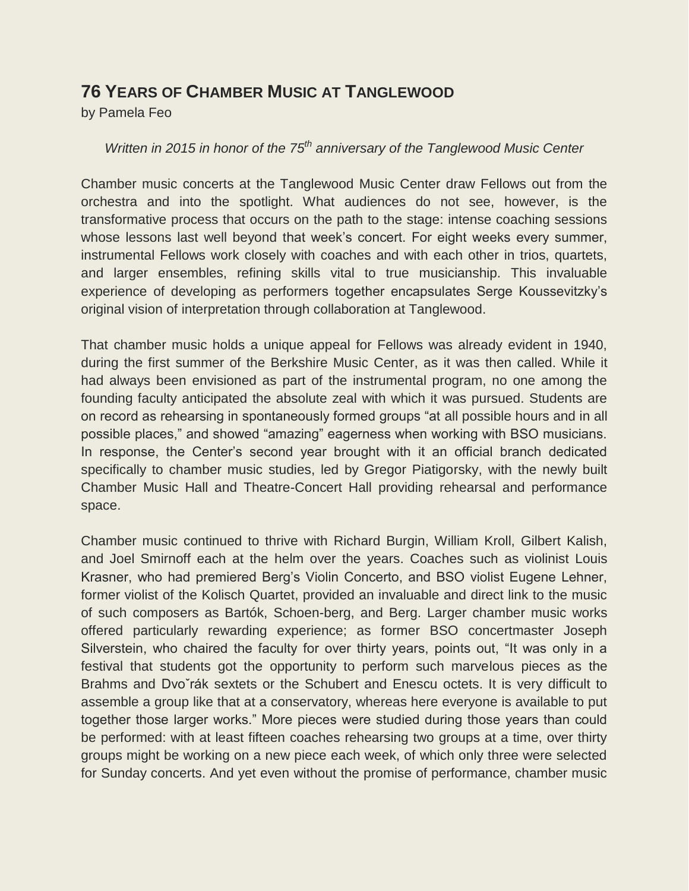## **76 YEARS OF CHAMBER MUSIC AT TANGLEWOOD**

by Pamela Feo

## *Written in 2015 in honor of the 75th anniversary of the Tanglewood Music Center*

Chamber music concerts at the Tanglewood Music Center draw Fellows out from the orchestra and into the spotlight. What audiences do not see, however, is the transformative process that occurs on the path to the stage: intense coaching sessions whose lessons last well beyond that week"s concert. For eight weeks every summer, instrumental Fellows work closely with coaches and with each other in trios, quartets, and larger ensembles, refining skills vital to true musicianship. This invaluable experience of developing as performers together encapsulates Serge Koussevitzky"s original vision of interpretation through collaboration at Tanglewood.

That chamber music holds a unique appeal for Fellows was already evident in 1940, during the first summer of the Berkshire Music Center, as it was then called. While it had always been envisioned as part of the instrumental program, no one among the founding faculty anticipated the absolute zeal with which it was pursued. Students are on record as rehearsing in spontaneously formed groups "at all possible hours and in all possible places," and showed "amazing" eagerness when working with BSO musicians. In response, the Center's second year brought with it an official branch dedicated specifically to chamber music studies, led by Gregor Piatigorsky, with the newly built Chamber Music Hall and Theatre-Concert Hall providing rehearsal and performance space.

Chamber music continued to thrive with Richard Burgin, William Kroll, Gilbert Kalish, and Joel Smirnoff each at the helm over the years. Coaches such as violinist Louis Krasner, who had premiered Berg"s Violin Concerto, and BSO violist Eugene Lehner, former violist of the Kolisch Quartet, provided an invaluable and direct link to the music of such composers as Bartók, Schoen-berg, and Berg. Larger chamber music works offered particularly rewarding experience; as former BSO concertmaster Joseph Silverstein, who chaired the faculty for over thirty years, points out, "It was only in a festival that students got the opportunity to perform such marvelous pieces as the Brahms and Dvoˇrák sextets or the Schubert and Enescu octets. It is very difficult to assemble a group like that at a conservatory, whereas here everyone is available to put together those larger works." More pieces were studied during those years than could be performed: with at least fifteen coaches rehearsing two groups at a time, over thirty groups might be working on a new piece each week, of which only three were selected for Sunday concerts. And yet even without the promise of performance, chamber music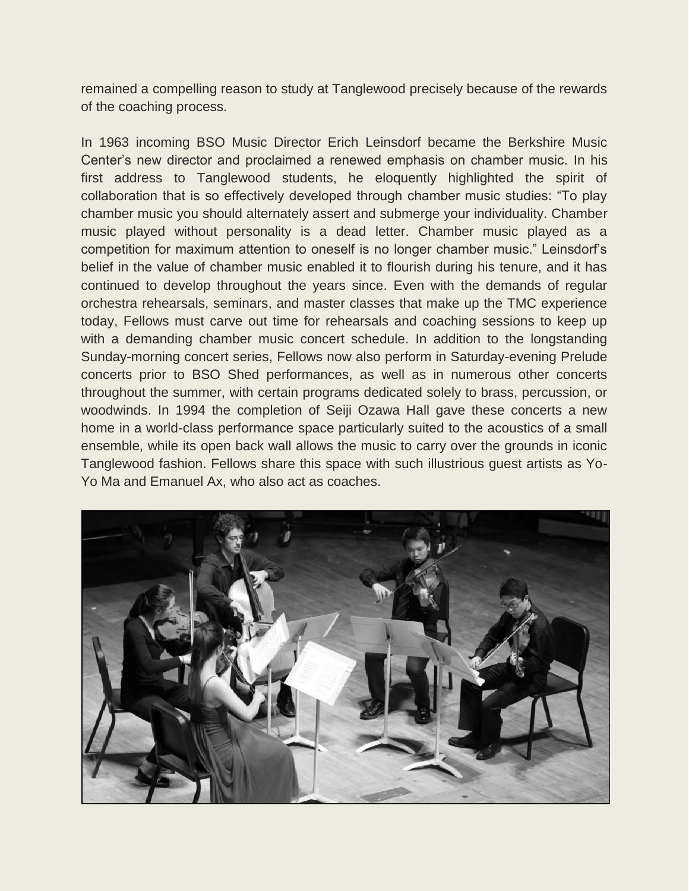remained a compelling reason to study at Tanglewood precisely because of the rewards of the coaching process.

In 1963 incoming BSO Music Director Erich Leinsdorf became the Berkshire Music Center"s new director and proclaimed a renewed emphasis on chamber music. In his first address to Tanglewood students, he eloquently highlighted the spirit of collaboration that is so effectively developed through chamber music studies: "To play chamber music you should alternately assert and submerge your individuality. Chamber music played without personality is a dead letter. Chamber music played as a competition for maximum attention to oneself is no longer chamber music." Leinsdorf"s belief in the value of chamber music enabled it to flourish during his tenure, and it has continued to develop throughout the years since. Even with the demands of regular orchestra rehearsals, seminars, and master classes that make up the TMC experience today, Fellows must carve out time for rehearsals and coaching sessions to keep up with a demanding chamber music concert schedule. In addition to the longstanding Sunday-morning concert series, Fellows now also perform in Saturday-evening Prelude concerts prior to BSO Shed performances, as well as in numerous other concerts throughout the summer, with certain programs dedicated solely to brass, percussion, or woodwinds. In 1994 the completion of Seiji Ozawa Hall gave these concerts a new home in a world-class performance space particularly suited to the acoustics of a small ensemble, while its open back wall allows the music to carry over the grounds in iconic Tanglewood fashion. Fellows share this space with such illustrious guest artists as Yo-Yo Ma and Emanuel Ax, who also act as coaches.